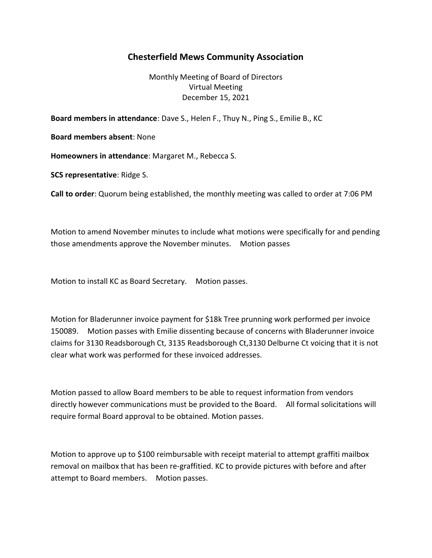## Chesterfield Mews Community Association

Monthly Meeting of Board of Directors Virtual Meeting December 15, 2021

Board members in attendance: Dave S., Helen F., Thuy N., Ping S., Emilie B., KC

Board members absent: None

Homeowners in attendance: Margaret M., Rebecca S.

SCS representative: Ridge S.

Call to order: Quorum being established, the monthly meeting was called to order at 7:06 PM

Motion to amend November minutes to include what motions were specifically for and pending those amendments approve the November minutes. Motion passes

Motion to install KC as Board Secretary. Motion passes.

Motion for Bladerunner invoice payment for \$18k Tree prunning work performed per invoice 150089. Motion passes with Emilie dissenting because of concerns with Bladerunner invoice claims for 3130 Readsborough Ct, 3135 Readsborough Ct,3130 Delburne Ct voicing that it is not clear what work was performed for these invoiced addresses.

Motion passed to allow Board members to be able to request information from vendors directly however communications must be provided to the Board. All formal solicitations will require formal Board approval to be obtained. Motion passes.

Motion to approve up to \$100 reimbursable with receipt material to attempt graffiti mailbox removal on mailbox that has been re-graffitied. KC to provide pictures with before and after attempt to Board members. Motion passes.